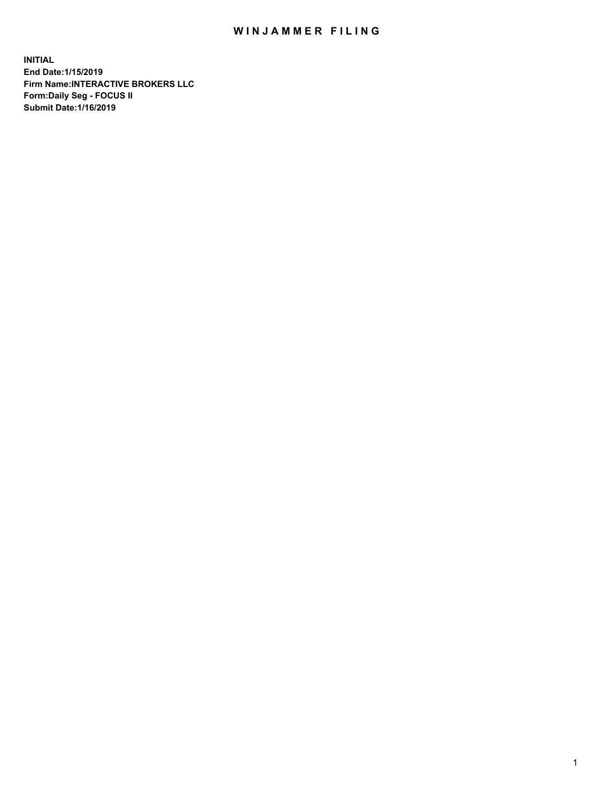## WIN JAMMER FILING

**INITIAL End Date:1/15/2019 Firm Name:INTERACTIVE BROKERS LLC Form:Daily Seg - FOCUS II Submit Date:1/16/2019**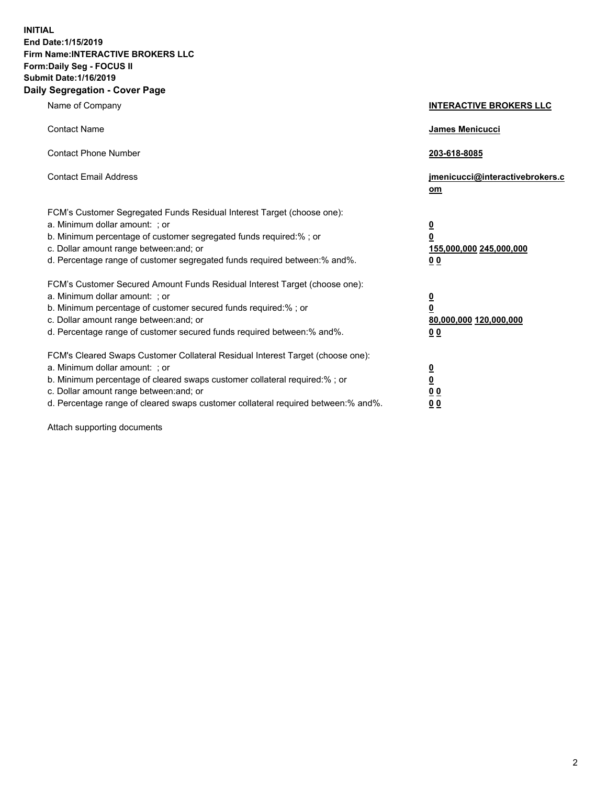**INITIAL End Date:1/15/2019 Firm Name:INTERACTIVE BROKERS LLC Form:Daily Seg - FOCUS II Submit Date:1/16/2019 Daily Segregation - Cover Page**

| Name of Company                                                                                                                                                                                                                                                                                                                | <b>INTERACTIVE BROKERS LLC</b>                                                                  |
|--------------------------------------------------------------------------------------------------------------------------------------------------------------------------------------------------------------------------------------------------------------------------------------------------------------------------------|-------------------------------------------------------------------------------------------------|
| <b>Contact Name</b>                                                                                                                                                                                                                                                                                                            | James Menicucci                                                                                 |
| <b>Contact Phone Number</b>                                                                                                                                                                                                                                                                                                    | 203-618-8085                                                                                    |
| <b>Contact Email Address</b>                                                                                                                                                                                                                                                                                                   | jmenicucci@interactivebrokers.c<br>om                                                           |
| FCM's Customer Segregated Funds Residual Interest Target (choose one):<br>a. Minimum dollar amount: ; or<br>b. Minimum percentage of customer segregated funds required:% ; or<br>c. Dollar amount range between: and; or<br>d. Percentage range of customer segregated funds required between:% and%.                         | $\overline{\mathbf{0}}$<br>$\overline{\mathbf{0}}$<br>155,000,000 245,000,000<br>0 <sub>0</sub> |
| FCM's Customer Secured Amount Funds Residual Interest Target (choose one):<br>a. Minimum dollar amount: ; or<br>b. Minimum percentage of customer secured funds required:%; or<br>c. Dollar amount range between: and; or<br>d. Percentage range of customer secured funds required between:% and%.                            | $\overline{\mathbf{0}}$<br>$\overline{\mathbf{0}}$<br>80,000,000 120,000,000<br>00              |
| FCM's Cleared Swaps Customer Collateral Residual Interest Target (choose one):<br>a. Minimum dollar amount: ; or<br>b. Minimum percentage of cleared swaps customer collateral required:% ; or<br>c. Dollar amount range between: and; or<br>d. Percentage range of cleared swaps customer collateral required between:% and%. | $\overline{\mathbf{0}}$<br>$\underline{\mathbf{0}}$<br>0 <sub>0</sub><br>0 <sub>0</sub>         |

Attach supporting documents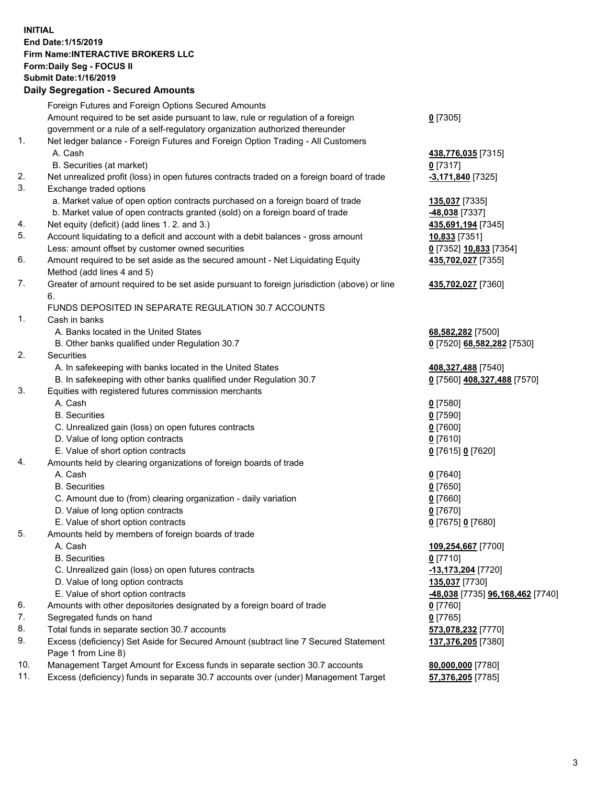## **INITIAL End Date:1/15/2019 Firm Name:INTERACTIVE BROKERS LLC Form:Daily Seg - FOCUS II Submit Date:1/16/2019 Daily Segregation - Secured Amounts**

|     | Daily Segregation - Secured Amounts                                                                                             |                                  |
|-----|---------------------------------------------------------------------------------------------------------------------------------|----------------------------------|
|     | Foreign Futures and Foreign Options Secured Amounts                                                                             |                                  |
|     | Amount required to be set aside pursuant to law, rule or regulation of a foreign                                                | $0$ [7305]                       |
|     | government or a rule of a self-regulatory organization authorized thereunder                                                    |                                  |
| 1.  | Net ledger balance - Foreign Futures and Foreign Option Trading - All Customers                                                 |                                  |
|     | A. Cash                                                                                                                         | 438,776,035 [7315]               |
|     | B. Securities (at market)                                                                                                       | $0$ [7317]                       |
| 2.  | Net unrealized profit (loss) in open futures contracts traded on a foreign board of trade                                       | -3,171,840 <sup>[7325]</sup>     |
| 3.  | Exchange traded options                                                                                                         |                                  |
|     | a. Market value of open option contracts purchased on a foreign board of trade                                                  | 135,037 [7335]                   |
|     | b. Market value of open contracts granted (sold) on a foreign board of trade                                                    | 48,038 [7337]                    |
| 4.  | Net equity (deficit) (add lines 1. 2. and 3.)                                                                                   | 435,691,194 [7345]               |
| 5.  | Account liquidating to a deficit and account with a debit balances - gross amount                                               | 10,833 [7351]                    |
|     | Less: amount offset by customer owned securities                                                                                | 0 [7352] 10,833 [7354]           |
| 6.  | Amount required to be set aside as the secured amount - Net Liquidating Equity                                                  | 435,702,027 [7355]               |
|     | Method (add lines 4 and 5)                                                                                                      |                                  |
| 7.  | Greater of amount required to be set aside pursuant to foreign jurisdiction (above) or line                                     | 435,702,027 [7360]               |
|     | 6.                                                                                                                              |                                  |
|     | FUNDS DEPOSITED IN SEPARATE REGULATION 30.7 ACCOUNTS                                                                            |                                  |
| 1.  | Cash in banks                                                                                                                   |                                  |
|     | A. Banks located in the United States                                                                                           | 68,582,282 [7500]                |
|     | B. Other banks qualified under Regulation 30.7                                                                                  | 0 [7520] 68,582,282 [7530]       |
| 2.  | Securities                                                                                                                      |                                  |
|     | A. In safekeeping with banks located in the United States<br>B. In safekeeping with other banks qualified under Regulation 30.7 | 408,327,488 [7540]               |
| 3.  | Equities with registered futures commission merchants                                                                           | 0 [7560] 408,327,488 [7570]      |
|     | A. Cash                                                                                                                         | $0$ [7580]                       |
|     | <b>B.</b> Securities                                                                                                            | $0$ [7590]                       |
|     | C. Unrealized gain (loss) on open futures contracts                                                                             | $0$ [7600]                       |
|     | D. Value of long option contracts                                                                                               | $0$ [7610]                       |
|     | E. Value of short option contracts                                                                                              | 0 [7615] 0 [7620]                |
| 4.  | Amounts held by clearing organizations of foreign boards of trade                                                               |                                  |
|     | A. Cash                                                                                                                         | $0$ [7640]                       |
|     | <b>B.</b> Securities                                                                                                            | $0$ [7650]                       |
|     | C. Amount due to (from) clearing organization - daily variation                                                                 | $0$ [7660]                       |
|     | D. Value of long option contracts                                                                                               | $0$ [7670]                       |
|     | E. Value of short option contracts                                                                                              | 0 [7675] 0 [7680]                |
| 5.  | Amounts held by members of foreign boards of trade                                                                              |                                  |
|     | A. Cash                                                                                                                         | 109,254,667 [7700]               |
|     | <b>B.</b> Securities                                                                                                            | $0$ [7710]                       |
|     | C. Unrealized gain (loss) on open futures contracts                                                                             | -13,173,204 [7720]               |
|     | D. Value of long option contracts                                                                                               | 135,037 [7730]                   |
|     | E. Value of short option contracts                                                                                              | -48,038 [7735] 96,168,462 [7740] |
| 6.  | Amounts with other depositories designated by a foreign board of trade                                                          | $0$ [7760]                       |
| 7.  | Segregated funds on hand                                                                                                        | $0$ [7765]                       |
| 8.  | Total funds in separate section 30.7 accounts                                                                                   | 573,078,232 [7770]               |
| 9.  | Excess (deficiency) Set Aside for Secured Amount (subtract line 7 Secured Statement                                             | 137,376,205 [7380]               |
|     | Page 1 from Line 8)                                                                                                             |                                  |
| 10. | Management Target Amount for Excess funds in separate section 30.7 accounts                                                     | 80,000,000 [7780]                |
| 11. | Excess (deficiency) funds in separate 30.7 accounts over (under) Management Target                                              | 57,376,205 [7785]                |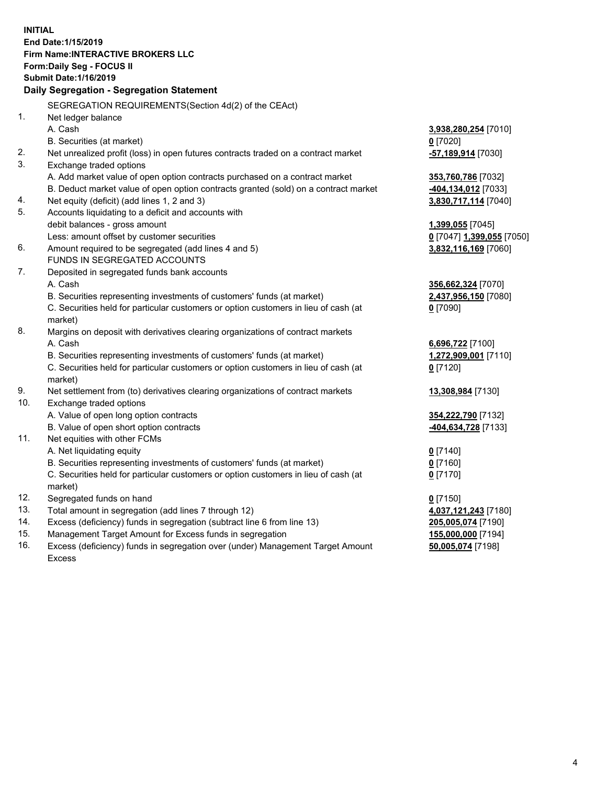**INITIAL End Date:1/15/2019 Firm Name:INTERACTIVE BROKERS LLC Form:Daily Seg - FOCUS II Submit Date:1/16/2019 Daily Segregation - Segregation Statement** SEGREGATION REQUIREMENTS(Section 4d(2) of the CEAct) 1. Net ledger balance A. Cash **3,938,280,254** [7010] B. Securities (at market) **0** [7020] 2. Net unrealized profit (loss) in open futures contracts traded on a contract market **-57,189,914** [7030] 3. Exchange traded options A. Add market value of open option contracts purchased on a contract market **353,760,786** [7032] B. Deduct market value of open option contracts granted (sold) on a contract market **-404,134,012** [7033] 4. Net equity (deficit) (add lines 1, 2 and 3) **3,830,717,114** [7040] 5. Accounts liquidating to a deficit and accounts with debit balances - gross amount **1,399,055** [7045] Less: amount offset by customer securities **0** [7047] **1,399,055** [7050] 6. Amount required to be segregated (add lines 4 and 5) **3,832,116,169** [7060] FUNDS IN SEGREGATED ACCOUNTS 7. Deposited in segregated funds bank accounts A. Cash **356,662,324** [7070] B. Securities representing investments of customers' funds (at market) **2,437,956,150** [7080] C. Securities held for particular customers or option customers in lieu of cash (at market) **0** [7090] 8. Margins on deposit with derivatives clearing organizations of contract markets A. Cash **6,696,722** [7100] B. Securities representing investments of customers' funds (at market) **1,272,909,001** [7110] C. Securities held for particular customers or option customers in lieu of cash (at market) **0** [7120] 9. Net settlement from (to) derivatives clearing organizations of contract markets **13,308,984** [7130] 10. Exchange traded options A. Value of open long option contracts **354,222,790** [7132] B. Value of open short option contracts **-404,634,728** [7133] 11. Net equities with other FCMs A. Net liquidating equity **0** [7140] B. Securities representing investments of customers' funds (at market) **0** [7160] C. Securities held for particular customers or option customers in lieu of cash (at market) **0** [7170] 12. Segregated funds on hand **0** [7150] 13. Total amount in segregation (add lines 7 through 12) **4,037,121,243** [7180] 14. Excess (deficiency) funds in segregation (subtract line 6 from line 13) **205,005,074** [7190] 15. Management Target Amount for Excess funds in segregation **155,000,000** [7194]

16. Excess (deficiency) funds in segregation over (under) Management Target Amount Excess

**50,005,074** [7198]